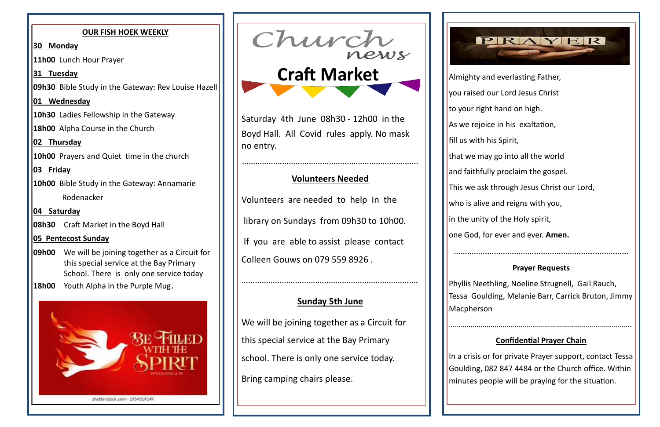Almighty and everlasting Father,

- you raised our Lord Jesus Christ
- to your right hand on high.
- As we rejoice in his exaltation,
	-
- that we may go into all the world
- and faithfully proclaim the gospel.
- This we ask through Jesus Christ our Lord,
- who is alive and reigns with you,
- in the unity of the Holy spirit,
- one God, for ever and ever. **Amen.**

Phyllis Neethling, Noeline Strugnell, Gail Rauch, Tessa Goulding, Melanie Barr, Carrick Bruton, Jimmy **Macpherson** 

……………………………………………………...……………

#### **Prayer Requests**

………………………………………………………………….…………….

## **Confidential Prayer Chain**

- **09h00** We will be joining together as a Circuit for this special service at the Bay Primary School. There is only one service today
- **18h00** Youth Alpha in the Purple Mug.



In a crisis or for private Prayer support, contact Tessa Goulding, 082 847 4484 or the Church office. Within minutes people will be praying for the situation.

#### **OUR FISH HOEK WEEKLY**

**30 Monday**

**11h00** Lunch Hour Prayer

**31 Tuesday**

**09h30** Bible Study in the Gateway: Rev Louise Hazell

**01 Wednesday**

**10h30** Ladies Fellowship in the Gateway

**18h00** Alpha Course in the Church

**02 Thursday**

**10h00** Prayers and Quiet time in the church

**03 Friday**

**10h00** Bible Study in the Gateway: Annamarie

Rodenacker

**04 Saturday**

**08h30** Craft Market in the Boyd Hall

## **05 Pentecost Sunday**

Saturday 4th June 08h30 - 12h00 in the Boyd Hall. All Covid rules apply. No mask no entry.

…………………………………………………………………….

# **Volunteers Needed**

Volunteers are needed to help In the

library on Sundays from 09h30 to 10h00.

If you are able to assist please contact Colleen Gouws on 079 559 8926 .

…………………………………………………………………….

# **Sunday 5th June**

We will be joining together as a Circuit for this special service at the Bay Primary school. There is only one service today. Bring camping chairs please.



fill us with his Spirit,

 **Craft Market**